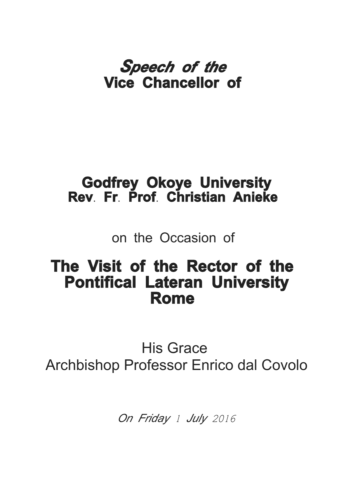## *Speech of the* **Vice Chancellor of**

## **Godfrey Okoye University Rev. Fr. Prof. Christian Anieke**

on the Occasion of

## **The Visit of the Rector of the Pontifical Lateran University Rome**

His Grace Archbishop Professor Enrico dal Covolo

*On Friday* 1 July 2016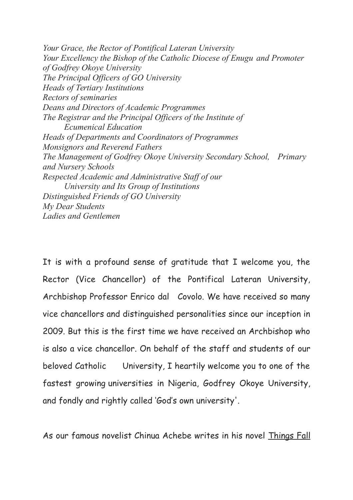*Your Grace, the Rector of Pontifical Lateran University Your Excellency the Bishop of the Catholic Diocese of Enugu and Promoter of Godfrey Okoye University The Principal Officers of GO University Heads of Tertiary Institutions Rectors of seminaries Deans and Directors of Academic Programmes The Registrar and the Principal Officers of the Institute of Ecumenical Education Heads of Departments and Coordinators of Programmes Monsignors and Reverend Fathers The Management of Godfrey Okoye University Secondary School, Primary and Nursery Schools Respected Academic and Administrative Staff of our University and Its Group of Institutions Distinguished Friends of GO University My Dear Students Ladies and Gentlemen*

It is with a profound sense of gratitude that I welcome you, the Rector (Vice Chancellor) of the Pontifical Lateran University, Archbishop Professor Enrico dal Covolo. We have received so many vice chancellors and distinguished personalities since our inception in 2009. But this is the first time we have received an Archbishop who is also a vice chancellor. On behalf of the staff and students of our beloved Catholic University, I heartily welcome you to one of the fastest growing universities in Nigeria, Godfrey Okoye University, and fondly and rightly called 'God's own university'.

As our famous novelist Chinua Achebe writes in his novel Things Fall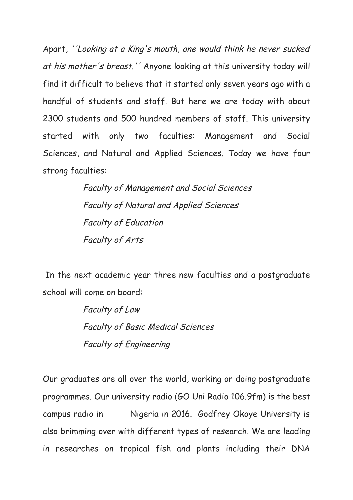Apart, ''Looking at a King's mouth, one would think he never sucked at his mother's breast.'' Anyone looking at this university today will find it difficult to believe that it started only seven years ago with a handful of students and staff. But here we are today with about 2300 students and 500 hundred members of staff. This university started with only two faculties: Management and Social Sciences, and Natural and Applied Sciences. Today we have four strong faculties:

> Faculty of Management and Social Sciences Faculty of Natural and Applied Sciences Faculty of Education Faculty of Arts

In the next academic year three new faculties and a postgraduate school will come on board:

> Faculty of Law Faculty of Basic Medical Sciences Faculty of Engineering

Our graduates are all over the world, working or doing postgraduate programmes. Our university radio (GO Uni Radio 106.9fm) is the best campus radio in Nigeria in 2016. Godfrey Okoye University is also brimming over with different types of research. We are leading in researches on tropical fish and plants including their DNA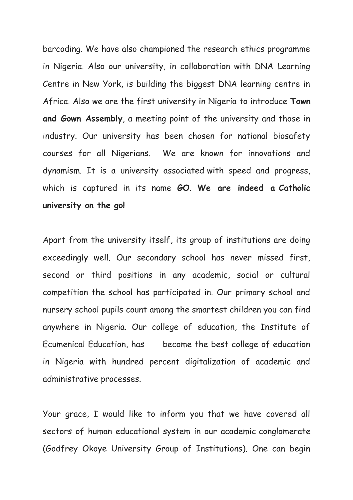barcoding. We have also championed the research ethics programme in Nigeria. Also our university, in collaboration with DNA Learning Centre in New York, is building the biggest DNA learning centre in Africa. Also we are the first university in Nigeria to introduce **Town and Gown Assembly**, a meeting point of the university and those in industry. Our university has been chosen for national biosafety courses for all Nigerians. We are known for innovations and dynamism. It is a university associated with speed and progress, which is captured in its name **GO**. **We are indeed a Catholic university on the go!**

Apart from the university itself, its group of institutions are doing exceedingly well. Our secondary school has never missed first, second or third positions in any academic, social or cultural competition the school has participated in. Our primary school and nursery school pupils count among the smartest children you can find anywhere in Nigeria. Our college of education, the Institute of Ecumenical Education, has become the best college of education in Nigeria with hundred percent digitalization of academic and administrative processes.

Your grace, I would like to inform you that we have covered all sectors of human educational system in our academic conglomerate (Godfrey Okoye University Group of Institutions). One can begin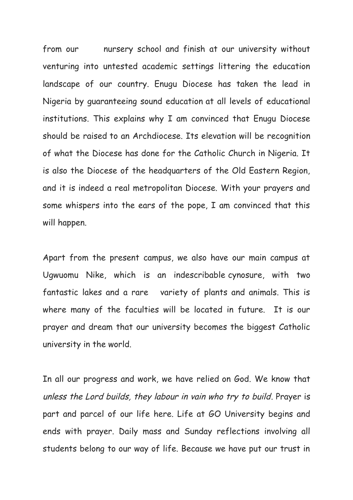from our nursery school and finish at our university without venturing into untested academic settings littering the education landscape of our country. Enugu Diocese has taken the lead in Nigeria by guaranteeing sound education at all levels of educational institutions. This explains why I am convinced that Enugu Diocese should be raised to an Archdiocese. Its elevation will be recognition of what the Diocese has done for the Catholic Church in Nigeria. It is also the Diocese of the headquarters of the Old Eastern Region, and it is indeed a real metropolitan Diocese. With your prayers and some whispers into the ears of the pope, I am convinced that this will happen.

Apart from the present campus, we also have our main campus at Ugwuomu Nike, which is an indescribable cynosure, with two fantastic lakes and a rare variety of plants and animals. This is where many of the faculties will be located in future. It is our prayer and dream that our university becomes the biggest Catholic university in the world.

In all our progress and work, we have relied on God. We know that unless the Lord builds, they labour in vain who try to build. Prayer is part and parcel of our life here. Life at GO University begins and ends with prayer. Daily mass and Sunday reflections involving all students belong to our way of life. Because we have put our trust in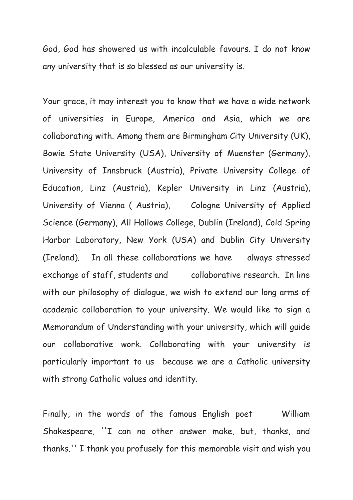God, God has showered us with incalculable favours. I do not know any university that is so blessed as our university is.

Your grace, it may interest you to know that we have a wide network of universities in Europe, America and Asia, which we are collaborating with. Among them are Birmingham City University (UK), Bowie State University (USA), University of Muenster (Germany), University of Innsbruck (Austria), Private University College of Education, Linz (Austria), Kepler University in Linz (Austria), University of Vienna ( Austria), Cologne University of Applied Science (Germany), All Hallows College, Dublin (Ireland), Cold Spring Harbor Laboratory, New York (USA) and Dublin City University (Ireland). In all these collaborations we have always stressed exchange of staff, students and collaborative research. In line with our philosophy of dialogue, we wish to extend our long arms of academic collaboration to your university. We would like to sign a Memorandum of Understanding with your university, which will guide our collaborative work. Collaborating with your university is particularly important to us because we are a Catholic university with strong Catholic values and identity.

Finally, in the words of the famous English poet William Shakespeare, ''I can no other answer make, but, thanks, and thanks.'' I thank you profusely for this memorable visit and wish you